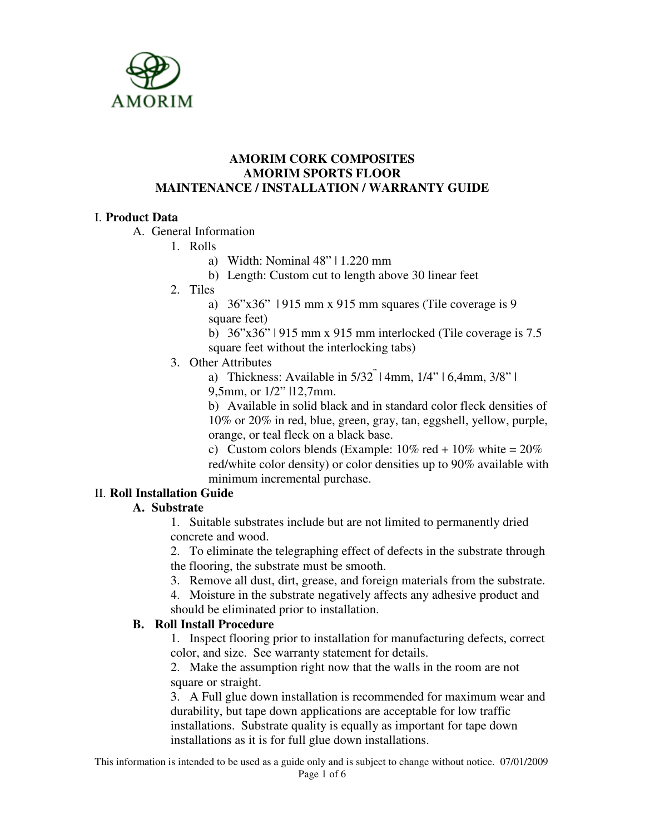

#### **AMORIM CORK COMPOSITES AMORIM SPORTS FLOOR MAINTENANCE / INSTALLATION / WARRANTY GUIDE**

# I. **Product Data**

A. General Information

1. Rolls

- a) Width: Nominal 48" | 1.220 mm
- b) Length: Custom cut to length above 30 linear feet
- 2. Tiles

a) 36"x36" | 915 mm x 915 mm squares (Tile coverage is 9 square feet)

b) 36"x36" | 915 mm x 915 mm interlocked (Tile coverage is 7.5 square feet without the interlocking tabs)

3. Other Attributes

a) Thickness: Available in 5/32" | 4mm, 1/4" | 6,4mm, 3/8" | 9,5mm, or 1/2" |12,7mm.

b) Available in solid black and in standard color fleck densities of 10% or 20% in red, blue, green, gray, tan, eggshell, yellow, purple, orange, or teal fleck on a black base.

c) Custom colors blends (Example:  $10\%$  red +  $10\%$  white =  $20\%$ red/white color density) or color densities up to 90% available with minimum incremental purchase.

# II. **Roll Installation Guide**

## **A. Substrate**

1. Suitable substrates include but are not limited to permanently dried concrete and wood.

2. To eliminate the telegraphing effect of defects in the substrate through the flooring, the substrate must be smooth.

- 3. Remove all dust, dirt, grease, and foreign materials from the substrate.
- 4. Moisture in the substrate negatively affects any adhesive product and

should be eliminated prior to installation.

## **B. Roll Install Procedure**

1. Inspect flooring prior to installation for manufacturing defects, correct color, and size. See warranty statement for details.

2. Make the assumption right now that the walls in the room are not square or straight.

3. A Full glue down installation is recommended for maximum wear and durability, but tape down applications are acceptable for low traffic installations. Substrate quality is equally as important for tape down installations as it is for full glue down installations.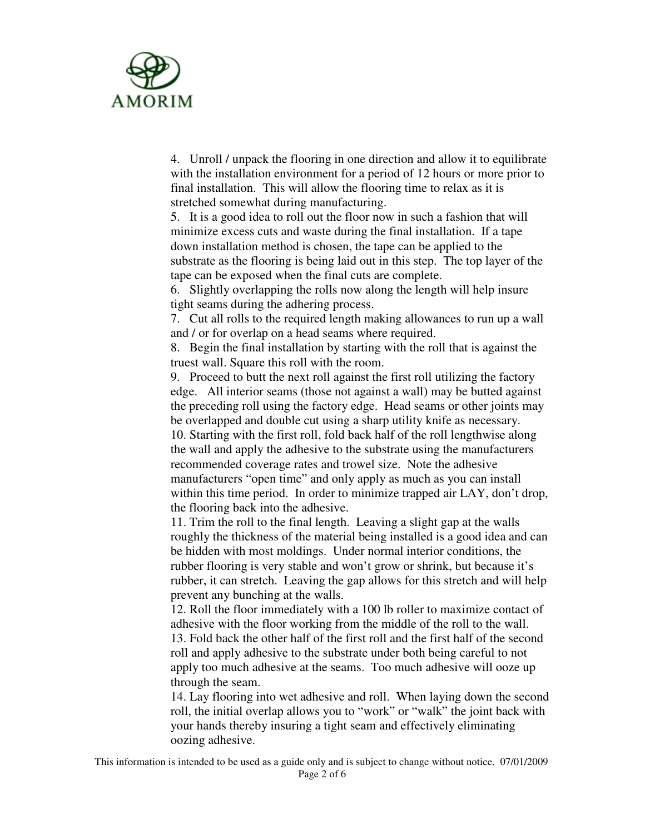

4. Unroll / unpack the flooring in one direction and allow it to equilibrate with the installation environment for a period of 12 hours or more prior to final installation. This will allow the flooring time to relax as it is stretched somewhat during manufacturing.

5. It is a good idea to roll out the floor now in such a fashion that will minimize excess cuts and waste during the final installation. If a tape down installation method is chosen, the tape can be applied to the substrate as the flooring is being laid out in this step. The top layer of the tape can be exposed when the final cuts are complete.

6. Slightly overlapping the rolls now along the length will help insure tight seams during the adhering process.

7. Cut all rolls to the required length making allowances to run up a wall and / or for overlap on a head seams where required.

8. Begin the final installation by starting with the roll that is against the truest wall. Square this roll with the room.

9. Proceed to butt the next roll against the first roll utilizing the factory edge. All interior seams (those not against a wall) may be butted against the preceding roll using the factory edge. Head seams or other joints may be overlapped and double cut using a sharp utility knife as necessary. 10. Starting with the first roll, fold back half of the roll lengthwise along the wall and apply the adhesive to the substrate using the manufacturers recommended coverage rates and trowel size. Note the adhesive manufacturers "open time" and only apply as much as you can install within this time period. In order to minimize trapped air LAY, don't drop, the flooring back into the adhesive.

11. Trim the roll to the final length. Leaving a slight gap at the walls roughly the thickness of the material being installed is a good idea and can be hidden with most moldings. Under normal interior conditions, the rubber flooring is very stable and won't grow or shrink, but because it's rubber, it can stretch. Leaving the gap allows for this stretch and will help prevent any bunching at the walls.

12. Roll the floor immediately with a 100 lb roller to maximize contact of adhesive with the floor working from the middle of the roll to the wall. 13. Fold back the other half of the first roll and the first half of the second roll and apply adhesive to the substrate under both being careful to not apply too much adhesive at the seams. Too much adhesive will ooze up through the seam.

14. Lay flooring into wet adhesive and roll. When laying down the second roll, the initial overlap allows you to "work" or "walk" the joint back with your hands thereby insuring a tight seam and effectively eliminating oozing adhesive.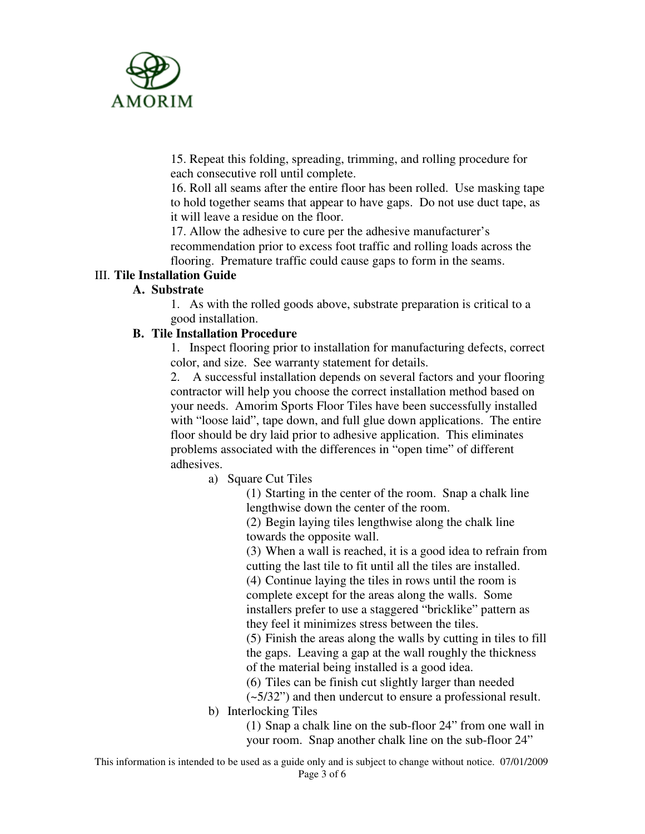

15. Repeat this folding, spreading, trimming, and rolling procedure for each consecutive roll until complete.

16. Roll all seams after the entire floor has been rolled. Use masking tape to hold together seams that appear to have gaps. Do not use duct tape, as it will leave a residue on the floor.

17. Allow the adhesive to cure per the adhesive manufacturer's recommendation prior to excess foot traffic and rolling loads across the flooring. Premature traffic could cause gaps to form in the seams.

## III. **Tile Installation Guide**

## **A. Substrate**

1. As with the rolled goods above, substrate preparation is critical to a good installation.

#### **B. Tile Installation Procedure**

1. Inspect flooring prior to installation for manufacturing defects, correct color, and size. See warranty statement for details.

2. A successful installation depends on several factors and your flooring contractor will help you choose the correct installation method based on your needs. Amorim Sports Floor Tiles have been successfully installed with "loose laid", tape down, and full glue down applications. The entire floor should be dry laid prior to adhesive application. This eliminates problems associated with the differences in "open time" of different adhesives.

a) Square Cut Tiles

(1) Starting in the center of the room. Snap a chalk line lengthwise down the center of the room.

(2) Begin laying tiles lengthwise along the chalk line towards the opposite wall.

(3) When a wall is reached, it is a good idea to refrain from cutting the last tile to fit until all the tiles are installed.

(4) Continue laying the tiles in rows until the room is complete except for the areas along the walls. Some installers prefer to use a staggered "bricklike" pattern as they feel it minimizes stress between the tiles.

(5) Finish the areas along the walls by cutting in tiles to fill the gaps. Leaving a gap at the wall roughly the thickness of the material being installed is a good idea.

(6) Tiles can be finish cut slightly larger than needed

(~5/32") and then undercut to ensure a professional result.

b) Interlocking Tiles

(1) Snap a chalk line on the sub-floor 24" from one wall in your room. Snap another chalk line on the sub-floor 24"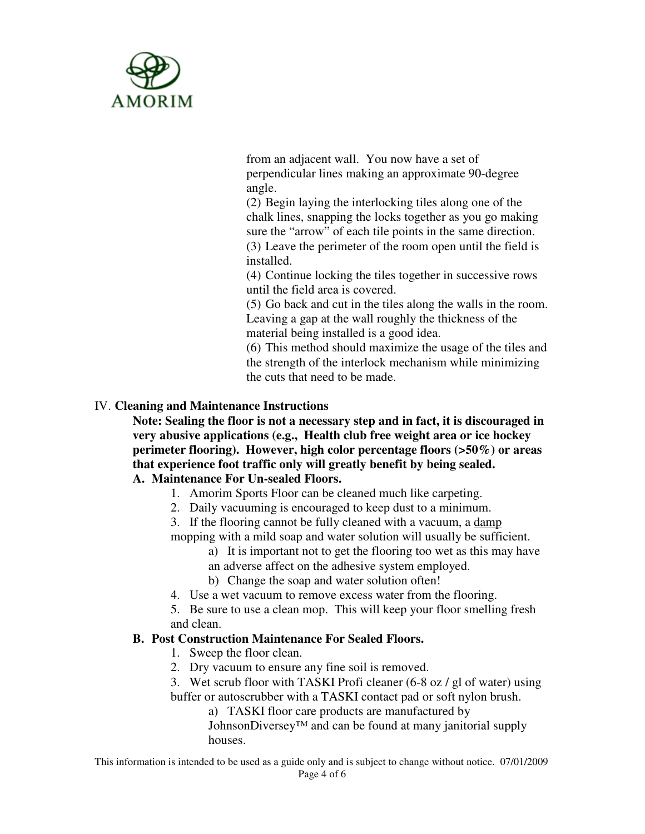

from an adjacent wall. You now have a set of perpendicular lines making an approximate 90-degree angle.

(2) Begin laying the interlocking tiles along one of the chalk lines, snapping the locks together as you go making sure the "arrow" of each tile points in the same direction. (3) Leave the perimeter of the room open until the field is installed.

(4) Continue locking the tiles together in successive rows until the field area is covered.

(5) Go back and cut in the tiles along the walls in the room. Leaving a gap at the wall roughly the thickness of the material being installed is a good idea.

(6) This method should maximize the usage of the tiles and the strength of the interlock mechanism while minimizing the cuts that need to be made.

## IV. **Cleaning and Maintenance Instructions**

**Note: Sealing the floor is not a necessary step and in fact, it is discouraged in very abusive applications (e.g., Health club free weight area or ice hockey perimeter flooring). However, high color percentage floors (>50%) or areas that experience foot traffic only will greatly benefit by being sealed. A. Maintenance For Un-sealed Floors.** 

- 1. Amorim Sports Floor can be cleaned much like carpeting.
- 2. Daily vacuuming is encouraged to keep dust to a minimum.
- 3. If the flooring cannot be fully cleaned with a vacuum, a damp
- mopping with a mild soap and water solution will usually be sufficient.
	- a) It is important not to get the flooring too wet as this may have
	- an adverse affect on the adhesive system employed.
	- b) Change the soap and water solution often!
- 4. Use a wet vacuum to remove excess water from the flooring.

5. Be sure to use a clean mop. This will keep your floor smelling fresh and clean.

## **B. Post Construction Maintenance For Sealed Floors.**

- 1. Sweep the floor clean.
- 2. Dry vacuum to ensure any fine soil is removed.

3. Wet scrub floor with TASKI Profi cleaner (6-8 oz / gl of water) using buffer or autoscrubber with a TASKI contact pad or soft nylon brush.

a) TASKI floor care products are manufactured by

JohnsonDiversey™ and can be found at many janitorial supply houses.

This information is intended to be used as a guide only and is subject to change without notice. 07/01/2009 Page 4 of 6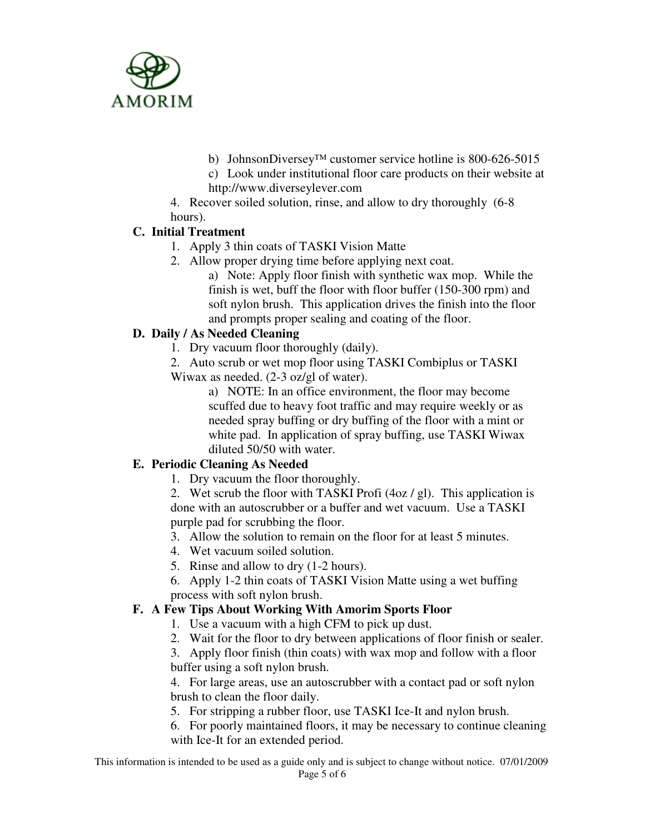

b) JohnsonDiversey™ customer service hotline is 800-626-5015

c) Look under institutional floor care products on their website at http://www.diverseylever.com

4. Recover soiled solution, rinse, and allow to dry thoroughly (6-8 hours).

# **C. Initial Treatment**

- 1. Apply 3 thin coats of TASKI Vision Matte
- 2. Allow proper drying time before applying next coat.
	- a) Note: Apply floor finish with synthetic wax mop. While the finish is wet, buff the floor with floor buffer (150-300 rpm) and soft nylon brush. This application drives the finish into the floor and prompts proper sealing and coating of the floor.

# **D. Daily / As Needed Cleaning**

- 1. Dry vacuum floor thoroughly (daily).
- 2. Auto scrub or wet mop floor using TASKI Combiplus or TASKI Wiwax as needed. (2-3 oz/gl of water).

a) NOTE: In an office environment, the floor may become scuffed due to heavy foot traffic and may require weekly or as needed spray buffing or dry buffing of the floor with a mint or white pad. In application of spray buffing, use TASKI Wiwax diluted 50/50 with water.

# **E. Periodic Cleaning As Needed**

1. Dry vacuum the floor thoroughly.

2. Wet scrub the floor with TASKI Profi (4oz / gl). This application is done with an autoscrubber or a buffer and wet vacuum. Use a TASKI purple pad for scrubbing the floor.

- 3. Allow the solution to remain on the floor for at least 5 minutes.
- 4. Wet vacuum soiled solution.
- 5. Rinse and allow to dry (1-2 hours).
- 6. Apply 1-2 thin coats of TASKI Vision Matte using a wet buffing process with soft nylon brush.

# **F. A Few Tips About Working With Amorim Sports Floor**

- 1. Use a vacuum with a high CFM to pick up dust.
- 2. Wait for the floor to dry between applications of floor finish or sealer.
- 3. Apply floor finish (thin coats) with wax mop and follow with a floor buffer using a soft nylon brush.

4. For large areas, use an autoscrubber with a contact pad or soft nylon brush to clean the floor daily.

5. For stripping a rubber floor, use TASKI Ice-It and nylon brush.

6. For poorly maintained floors, it may be necessary to continue cleaning with Ice-It for an extended period.